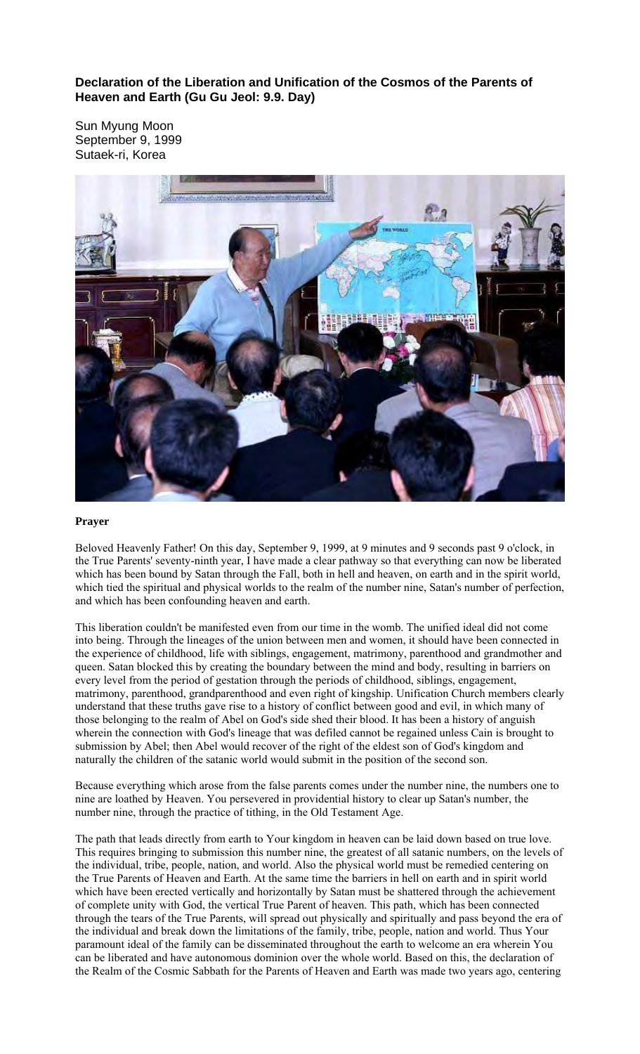**Declaration of the Liberation and Unification of the Cosmos of the Parents of Heaven and Earth (Gu Gu Jeol: 9.9. Day)** 

Sun Myung Moon September 9, 1999 Sutaek-ri, Korea



## **Prayer**

Beloved Heavenly Father! On this day, September 9, 1999, at 9 minutes and 9 seconds past 9 o'clock, in the True Parents' seventy-ninth year, I have made a clear pathway so that everything can now be liberated which has been bound by Satan through the Fall, both in hell and heaven, on earth and in the spirit world, which tied the spiritual and physical worlds to the realm of the number nine, Satan's number of perfection, and which has been confounding heaven and earth.

This liberation couldn't be manifested even from our time in the womb. The unified ideal did not come into being. Through the lineages of the union between men and women, it should have been connected in the experience of childhood, life with siblings, engagement, matrimony, parenthood and grandmother and queen. Satan blocked this by creating the boundary between the mind and body, resulting in barriers on every level from the period of gestation through the periods of childhood, siblings, engagement, matrimony, parenthood, grandparenthood and even right of kingship. Unification Church members clearly understand that these truths gave rise to a history of conflict between good and evil, in which many of those belonging to the realm of Abel on God's side shed their blood. It has been a history of anguish wherein the connection with God's lineage that was defiled cannot be regained unless Cain is brought to submission by Abel; then Abel would recover of the right of the eldest son of God's kingdom and naturally the children of the satanic world would submit in the position of the second son.

Because everything which arose from the false parents comes under the number nine, the numbers one to nine are loathed by Heaven. You persevered in providential history to clear up Satan's number, the number nine, through the practice of tithing, in the Old Testament Age.

The path that leads directly from earth to Your kingdom in heaven can be laid down based on true love. This requires bringing to submission this number nine, the greatest of all satanic numbers, on the levels of the individual, tribe, people, nation, and world. Also the physical world must be remedied centering on the True Parents of Heaven and Earth. At the same time the barriers in hell on earth and in spirit world which have been erected vertically and horizontally by Satan must be shattered through the achievement of complete unity with God, the vertical True Parent of heaven. This path, which has been connected through the tears of the True Parents, will spread out physically and spiritually and pass beyond the era of the individual and break down the limitations of the family, tribe, people, nation and world. Thus Your paramount ideal of the family can be disseminated throughout the earth to welcome an era wherein You can be liberated and have autonomous dominion over the whole world. Based on this, the declaration of the Realm of the Cosmic Sabbath for the Parents of Heaven and Earth was made two years ago, centering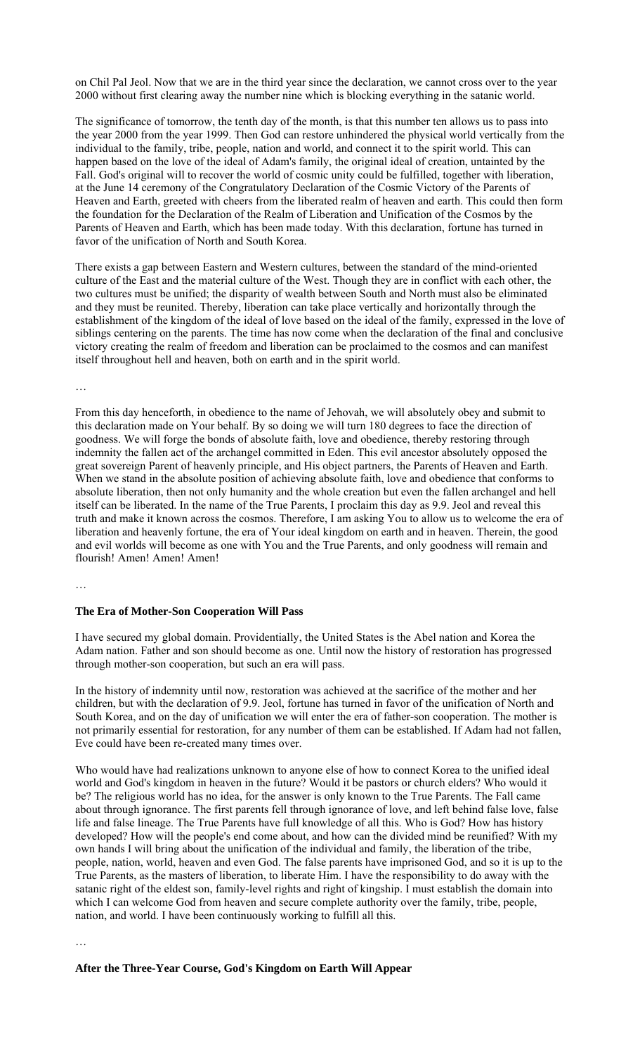on Chil Pal Jeol. Now that we are in the third year since the declaration, we cannot cross over to the year 2000 without first clearing away the number nine which is blocking everything in the satanic world.

The significance of tomorrow, the tenth day of the month, is that this number ten allows us to pass into the year 2000 from the year 1999. Then God can restore unhindered the physical world vertically from the individual to the family, tribe, people, nation and world, and connect it to the spirit world. This can happen based on the love of the ideal of Adam's family, the original ideal of creation, untainted by the Fall. God's original will to recover the world of cosmic unity could be fulfilled, together with liberation, at the June 14 ceremony of the Congratulatory Declaration of the Cosmic Victory of the Parents of Heaven and Earth, greeted with cheers from the liberated realm of heaven and earth. This could then form the foundation for the Declaration of the Realm of Liberation and Unification of the Cosmos by the Parents of Heaven and Earth, which has been made today. With this declaration, fortune has turned in favor of the unification of North and South Korea.

There exists a gap between Eastern and Western cultures, between the standard of the mind-oriented culture of the East and the material culture of the West. Though they are in conflict with each other, the two cultures must be unified; the disparity of wealth between South and North must also be eliminated and they must be reunited. Thereby, liberation can take place vertically and horizontally through the establishment of the kingdom of the ideal of love based on the ideal of the family, expressed in the love of siblings centering on the parents. The time has now come when the declaration of the final and conclusive victory creating the realm of freedom and liberation can be proclaimed to the cosmos and can manifest itself throughout hell and heaven, both on earth and in the spirit world.

…

From this day henceforth, in obedience to the name of Jehovah, we will absolutely obey and submit to this declaration made on Your behalf. By so doing we will turn 180 degrees to face the direction of goodness. We will forge the bonds of absolute faith, love and obedience, thereby restoring through indemnity the fallen act of the archangel committed in Eden. This evil ancestor absolutely opposed the great sovereign Parent of heavenly principle, and His object partners, the Parents of Heaven and Earth. When we stand in the absolute position of achieving absolute faith, love and obedience that conforms to absolute liberation, then not only humanity and the whole creation but even the fallen archangel and hell itself can be liberated. In the name of the True Parents, I proclaim this day as 9.9. Jeol and reveal this truth and make it known across the cosmos. Therefore, I am asking You to allow us to welcome the era of liberation and heavenly fortune, the era of Your ideal kingdom on earth and in heaven. Therein, the good and evil worlds will become as one with You and the True Parents, and only goodness will remain and flourish! Amen! Amen! Amen!

…

# **The Era of Mother-Son Cooperation Will Pass**

I have secured my global domain. Providentially, the United States is the Abel nation and Korea the Adam nation. Father and son should become as one. Until now the history of restoration has progressed through mother-son cooperation, but such an era will pass.

In the history of indemnity until now, restoration was achieved at the sacrifice of the mother and her children, but with the declaration of 9.9. Jeol, fortune has turned in favor of the unification of North and South Korea, and on the day of unification we will enter the era of father-son cooperation. The mother is not primarily essential for restoration, for any number of them can be established. If Adam had not fallen, Eve could have been re-created many times over.

Who would have had realizations unknown to anyone else of how to connect Korea to the unified ideal world and God's kingdom in heaven in the future? Would it be pastors or church elders? Who would it be? The religious world has no idea, for the answer is only known to the True Parents. The Fall came about through ignorance. The first parents fell through ignorance of love, and left behind false love, false life and false lineage. The True Parents have full knowledge of all this. Who is God? How has history developed? How will the people's end come about, and how can the divided mind be reunified? With my own hands I will bring about the unification of the individual and family, the liberation of the tribe, people, nation, world, heaven and even God. The false parents have imprisoned God, and so it is up to the True Parents, as the masters of liberation, to liberate Him. I have the responsibility to do away with the satanic right of the eldest son, family-level rights and right of kingship. I must establish the domain into which I can welcome God from heaven and secure complete authority over the family, tribe, people, nation, and world. I have been continuously working to fulfill all this.

…

#### **After the Three-Year Course, God's Kingdom on Earth Will Appear**